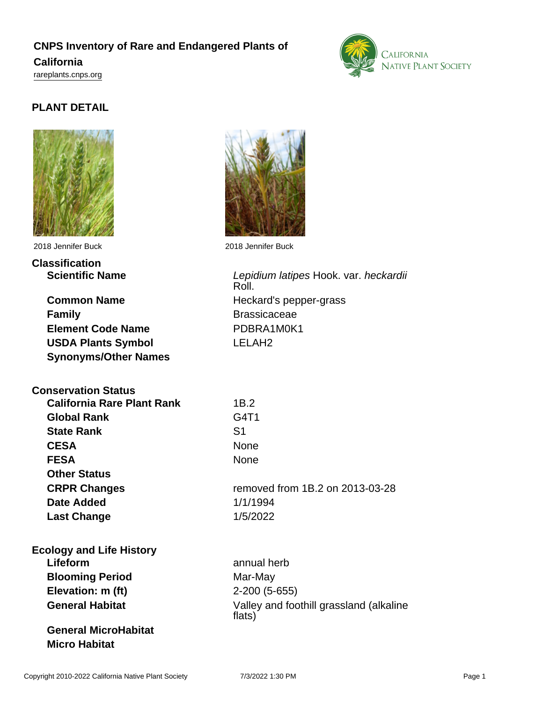## **CNPS Inventory of Rare and Endangered Plants of California**

<rareplants.cnps.org>

# **PLANT DETAIL**



# **Classification**

**Common Name** Heckard's pepper-grass **Family Brassicaceae Element Code Name** PDBRA1M0K1 **USDA Plants Symbol** LELAH2 **Synonyms/Other Names**

## **Conservation Status**

**California Rare Plant Rank** 1B.2 **Global Rank State Rank CESA FESA Other Status CRPR Changes Date Added Last Change** 

#### **Ecology and Life History Lifeform** annual herb **Blooming Period** Mar-May **Elevation: m (ft)** 2-200 (5-655)

**General MicroHabitat**

**Micro Habitat**



2018 Jennifer Buck 2018 Jennifer Buck

Scientific Name **Scientific Name** Lepidium latipes Hook. var. heckardii Roll.

| ID.7                            |
|---------------------------------|
| G4T1                            |
| S <sub>1</sub>                  |
| None                            |
| None                            |
|                                 |
| removed from 1B.2 on 2013-03-28 |
| 1/1/1994                        |
| 1/5/2022                        |

**General Habitat** Valley and foothill grassland (alkaline flats)

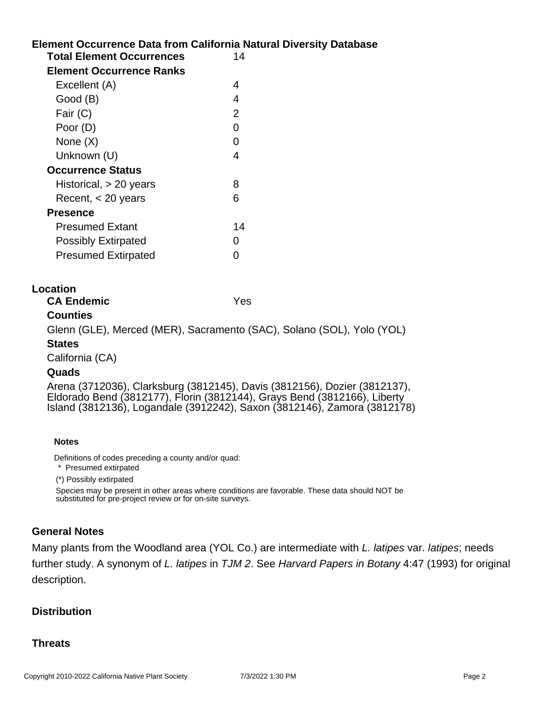# **Element Occurrence Data from California Natural Diversity Database Location Notes Total Element Occurrences** 14 **Element Occurrence Ranks** Excellent (A) 4 Good (B) 4 Fair (C) 2 Poor (D) 0 None  $(X)$  0 Unknown (U) 4 **Occurrence Status** Historical, > 20 years 8 Recent, < 20 years 6 **Presence** Presumed Extant 14 Possibly Extirpated 0 Presumed Extirpated 0 **CA Endemic** Yes **Counties** Glenn (GLE), Merced (MER), Sacramento (SAC), Solano (SOL), Yolo (YOL) **States** California (CA) **Quads** Arena (3712036), Clarksburg (3812145), Davis (3812156), Dozier (3812137), Eldorado Bend (3812177), Florin (3812144), Grays Bend (3812166), Liberty Island (3812136), Logandale (3912242), Saxon (3812146), Zamora (3812178)

Definitions of codes preceding a county and/or quad:

\* Presumed extirpated

(\*) Possibly extirpated

Species may be present in other areas where conditions are favorable. These data should NOT be substituted for pre-project review or for on-site surveys.

#### **General Notes**

Many plants from the Woodland area (YOL Co.) are intermediate with L. latipes var. latipes; needs further study. A synonym of L. latipes in TJM 2. See Harvard Papers in Botany 4:47 (1993) for original description.

#### **Distribution**

#### **Threats**